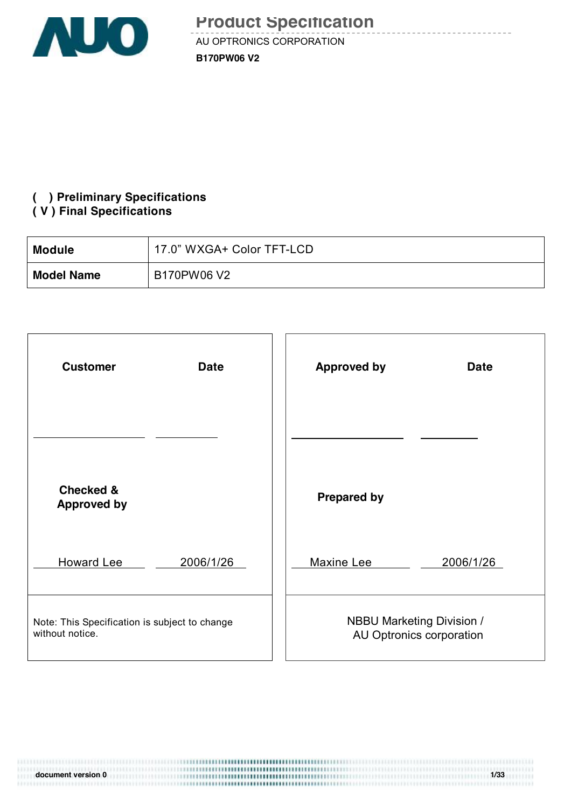

\_\_\_\_\_\_\_\_\_\_\_\_\_

### **( ) Preliminary Specifications**

#### **( V ) Final Specifications**

| <b>Module</b>     | 17.0" WXGA+ Color TFT-LCD |
|-------------------|---------------------------|
| <b>Model Name</b> | B170PW06 V2               |

| <b>Customer</b>                               | <b>Approved by</b>               |
|-----------------------------------------------|----------------------------------|
| <b>Date</b>                                   | <b>Date</b>                      |
|                                               |                                  |
| <b>Checked &amp;</b><br><b>Approved by</b>    | <b>Prepared by</b>               |
| <b>Howard Lee</b>                             | Maxine Lee                       |
| 2006/1/26                                     | 2006/1/26                        |
| Note: This Specification is subject to change | <b>NBBU Marketing Division /</b> |
| without notice.                               | AU Optronics corporation         |

**document** version 0 1/33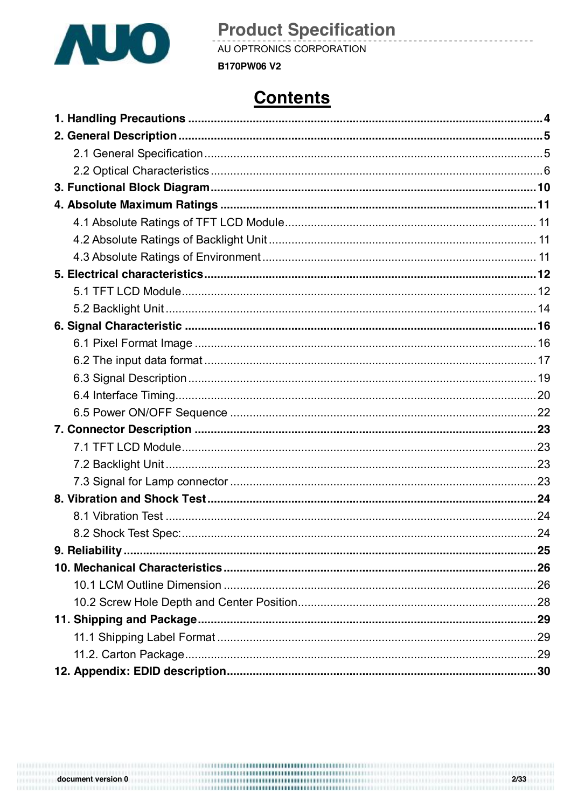

AU OPTRONICS CORPORATION

**B170PW06 V2** 

# **Contents**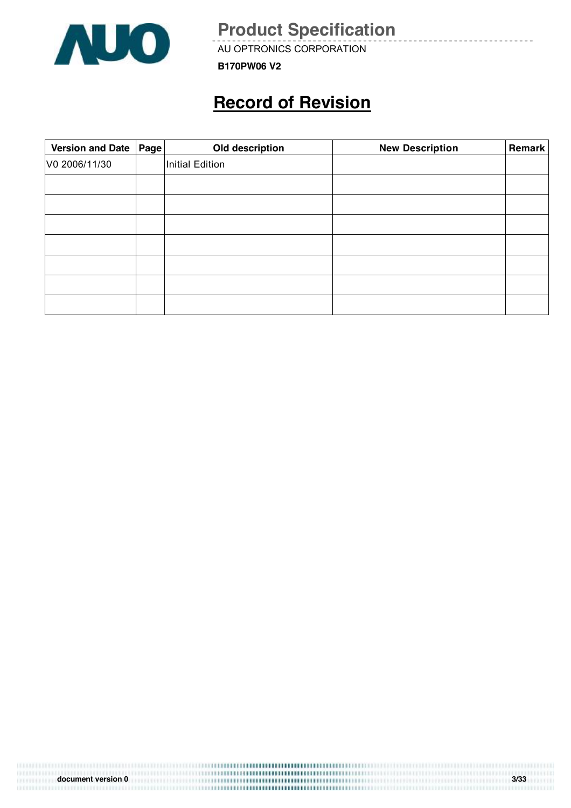

AU OPTRONICS CORPORATION

**B170PW06 V2**

# **Record of Revision**

| Version and Date   Page | Old description | <b>New Description</b> | Remark |
|-------------------------|-----------------|------------------------|--------|
| V0 2006/11/30           | Initial Edition |                        |        |
|                         |                 |                        |        |
|                         |                 |                        |        |
|                         |                 |                        |        |
|                         |                 |                        |        |
|                         |                 |                        |        |
|                         |                 |                        |        |
|                         |                 |                        |        |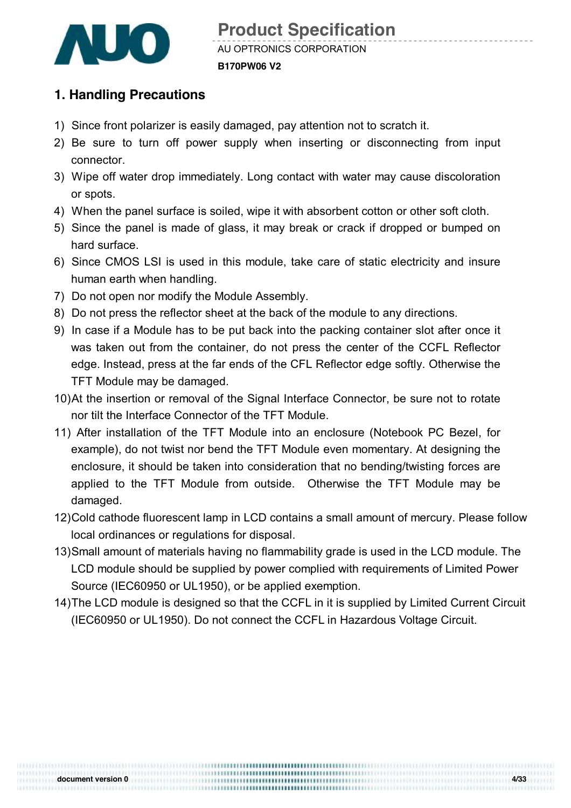

#### **1. Handling Precautions**

- 1) Since front polarizer is easily damaged, pay attention not to scratch it.
- 2) Be sure to turn off power supply when inserting or disconnecting from input connector.
- 3) Wipe off water drop immediately. Long contact with water may cause discoloration or spots.
- 4) When the panel surface is soiled, wipe it with absorbent cotton or other soft cloth.
- 5) Since the panel is made of glass, it may break or crack if dropped or bumped on hard surface.
- 6) Since CMOS LSI is used in this module, take care of static electricity and insure human earth when handling.
- 7) Do not open nor modify the Module Assembly.
- 8) Do not press the reflector sheet at the back of the module to any directions.
- 9) In case if a Module has to be put back into the packing container slot after once it was taken out from the container, do not press the center of the CCFL Reflector edge. Instead, press at the far ends of the CFL Reflector edge softly. Otherwise the TFT Module may be damaged.
- 10)At the insertion or removal of the Signal Interface Connector, be sure not to rotate nor tilt the Interface Connector of the TFT Module.
- 11) After installation of the TFT Module into an enclosure (Notebook PC Bezel, for example), do not twist nor bend the TFT Module even momentary. At designing the enclosure, it should be taken into consideration that no bending/twisting forces are applied to the TFT Module from outside. Otherwise the TFT Module may be damaged.
- 12)Cold cathode fluorescent lamp in LCD contains a small amount of mercury. Please follow local ordinances or regulations for disposal.
- 13)Small amount of materials having no flammability grade is used in the LCD module. The LCD module should be supplied by power complied with requirements of Limited Power Source (IEC60950 or UL1950), or be applied exemption.
- 14)The LCD module is designed so that the CCFL in it is supplied by Limited Current Circuit (IEC60950 or UL1950). Do not connect the CCFL in Hazardous Voltage Circuit.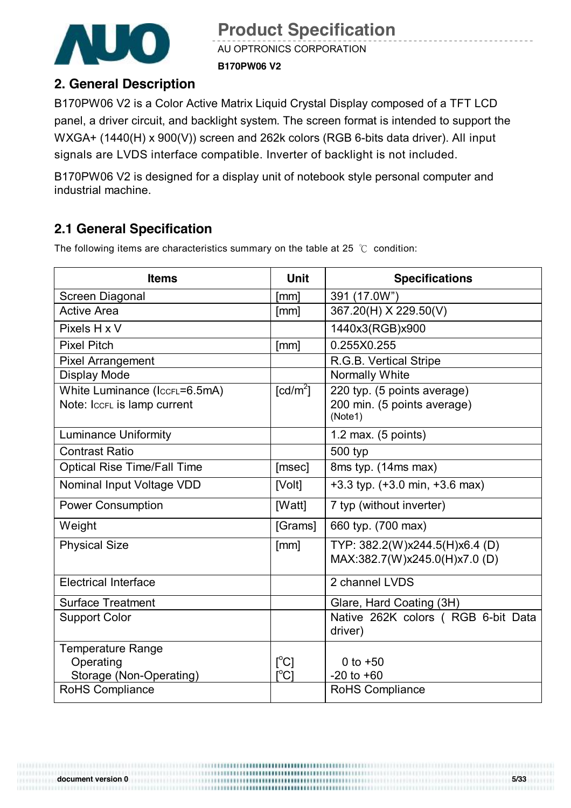

AU OPTRONICS CORPORATION

**B170PW06 V2**

#### **2. General Description**

B170PW06 V2 is a Color Active Matrix Liquid Crystal Display composed of a TFT LCD panel, a driver circuit, and backlight system. The screen format is intended to support the WXGA+ (1440(H) x 900(V)) screen and 262k colors (RGB 6-bits data driver). All input signals are LVDS interface compatible. Inverter of backlight is not included.

B170PW06 V2 is designed for a display unit of notebook style personal computer and industrial machine.

## **2.1 General Specification**

The following items are characteristics summary on the table at 25 ℃ condition:

| <b>Items</b>                       | <b>Unit</b>                             | <b>Specifications</b>                                          |
|------------------------------------|-----------------------------------------|----------------------------------------------------------------|
| Screen Diagonal                    | [mm]                                    | 391 (17.0W")                                                   |
| <b>Active Area</b>                 | [mm]                                    | 367.20(H) X 229.50(V)                                          |
| Pixels H x V                       |                                         | 1440x3(RGB)x900                                                |
| <b>Pixel Pitch</b>                 | [mm]                                    | 0.255X0.255                                                    |
| <b>Pixel Arrangement</b>           |                                         | R.G.B. Vertical Stripe                                         |
| <b>Display Mode</b>                |                                         | <b>Normally White</b>                                          |
| White Luminance (IccrL=6.5mA)      | $\lceil cd/m^2 \rceil$                  | 220 typ. (5 points average)                                    |
| Note: IccFL is lamp current        |                                         | 200 min. (5 points average)<br>(Note1)                         |
| <b>Luminance Uniformity</b>        |                                         | 1.2 max. $(5$ points)                                          |
| <b>Contrast Ratio</b>              |                                         | 500 typ                                                        |
| <b>Optical Rise Time/Fall Time</b> | [msec]                                  | 8ms typ. (14ms max)                                            |
| Nominal Input Voltage VDD          | [Volt]                                  | $+3.3$ typ. $(+3.0$ min, $+3.6$ max)                           |
| <b>Power Consumption</b>           | [Watt]                                  | 7 typ (without inverter)                                       |
| Weight                             | [Grams]                                 | 660 typ. (700 max)                                             |
| <b>Physical Size</b>               | [mm]                                    | TYP: 382.2(W)x244.5(H)x6.4 (D)<br>MAX:382.7(W)x245.0(H)x7.0(D) |
| <b>Electrical Interface</b>        |                                         | 2 channel LVDS                                                 |
| <b>Surface Treatment</b>           |                                         | Glare, Hard Coating (3H)                                       |
| <b>Support Color</b>               |                                         | Native 262K colors (RGB 6-bit Data                             |
|                                    |                                         | driver)                                                        |
| Temperature Range                  |                                         |                                                                |
| Operating                          | $\mathsf{I}^{\circ}$ Cl                 | 0 to $+50$                                                     |
| Storage (Non-Operating)            | $\mathsf{I}^\circ\mathsf{C} \mathsf{I}$ | $-20$ to $+60$                                                 |
| <b>RoHS Compliance</b>             |                                         | <b>RoHS Compliance</b>                                         |

**document version 0 5/33**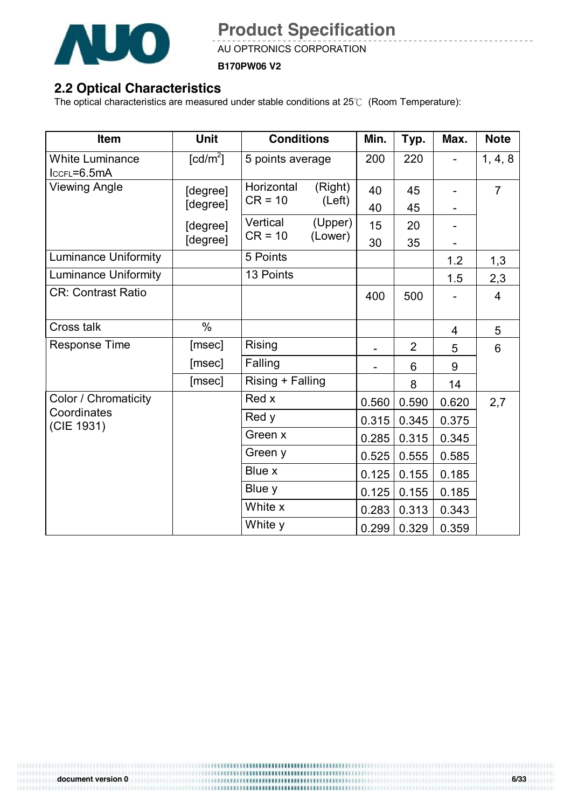

AU OPTRONICS CORPORATION

**B170PW06 V2**

#### **2.2 Optical Characteristics**

The optical characteristics are measured under stable conditions at 25℃ (Room Temperature):

| Item                                  | <b>Unit</b>            | <b>Conditions</b>       |         | Min.  | Typ.           | Max.                     | <b>Note</b>    |
|---------------------------------------|------------------------|-------------------------|---------|-------|----------------|--------------------------|----------------|
| <b>White Luminance</b><br>ICCFL=6.5mA | $\lceil cd/m^2 \rceil$ | 5 points average        |         | 200   | 220            | $\overline{\phantom{0}}$ | 1, 4, 8        |
| <b>Viewing Angle</b>                  | [degree]               | Horizontal<br>$CR = 10$ | (Right) | 40    | 45             |                          | $\overline{7}$ |
|                                       | [degree]               |                         | (Left)  | 40    | 45             |                          |                |
|                                       | [degree]               | Vertical                | (Upper) | 15    | 20             |                          |                |
|                                       | [degree]               | $CR = 10$               | (Lower) | 30    | 35             |                          |                |
| <b>Luminance Uniformity</b>           |                        | 5 Points                |         |       |                | 1.2                      | 1,3            |
| <b>Luminance Uniformity</b>           |                        | 13 Points               |         |       |                | 1.5                      | 2,3            |
| <b>CR: Contrast Ratio</b>             |                        |                         |         | 400   | 500            |                          | $\overline{4}$ |
| Cross talk                            | $\%$                   |                         |         |       |                | 4                        | 5              |
| <b>Response Time</b>                  | [msec]                 | Rising                  |         |       | $\overline{2}$ | 5                        | 6              |
|                                       | [msec]                 | Falling                 |         |       | 6              | 9                        |                |
|                                       | [msec]                 | Rising + Falling        |         |       | 8              | 14                       |                |
| Color / Chromaticity                  |                        | Red x                   |         | 0.560 | 0.590          | 0.620                    | 2,7            |
| Coordinates<br>(CIE 1931)             |                        | Red y                   |         | 0.315 | 0.345          | 0.375                    |                |
|                                       |                        | Green x                 |         | 0.285 | 0.315          | 0.345                    |                |
|                                       |                        | Green y                 |         | 0.525 | 0.555          | 0.585                    |                |
|                                       |                        | Blue x                  |         | 0.125 | 0.155          | 0.185                    |                |
|                                       |                        | Blue y                  |         | 0.125 | 0.155          | 0.185                    |                |
|                                       |                        | White x                 |         | 0.283 | 0.313          | 0.343                    |                |
|                                       |                        | White y                 |         | 0.299 | 0.329          | 0.359                    |                |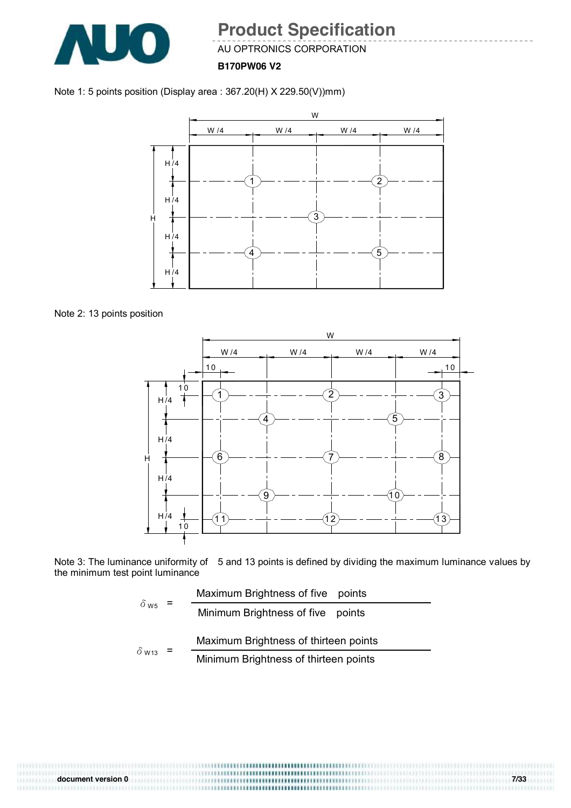

AU OPTRONICS CORPORATION

**B170PW06 V2**

#### Note 1: 5 points position (Display area : 367.20(H) X 229.50(V))mm)



Note 2: 13 points position



Note 3: The luminance uniformity of 5 and 13 points is defined by dividing the maximum luminance values by the minimum test point luminance

$$
\delta_{\text{W5}} = \frac{\text{Maximum brightness of five points}}{\text{Minimum brightness of five points}}
$$
\n
$$
\delta_{\text{W13}} = \frac{\text{Maximum brightness of thirteen points}}{\text{Minimum brightness of thirteen points}}
$$

0111111111 **document version 0 7/33**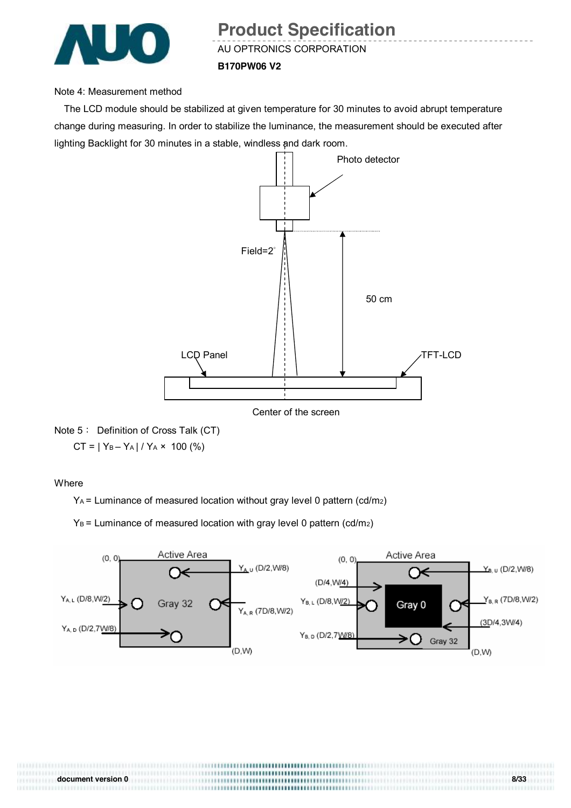

AU OPTRONICS CORPORATION

#### **B170PW06 V2**

#### Note 4: Measurement method

The LCD module should be stabilized at given temperature for 30 minutes to avoid abrupt temperature change during measuring. In order to stabilize the luminance, the measurement should be executed after lighting Backlight for 30 minutes in a stable, windless and dark room.



Center of the screen

Note 5: Definition of Cross Talk (CT)  $CT = |Y_B - Y_A| / Y_A \times 100$  (%)

**Where** 

YA = Luminance of measured location without gray level 0 pattern (cd/m2)

 $Y_B$  = Luminance of measured location with gray level 0 pattern (cd/m<sub>2</sub>)



**document version 0 8/33**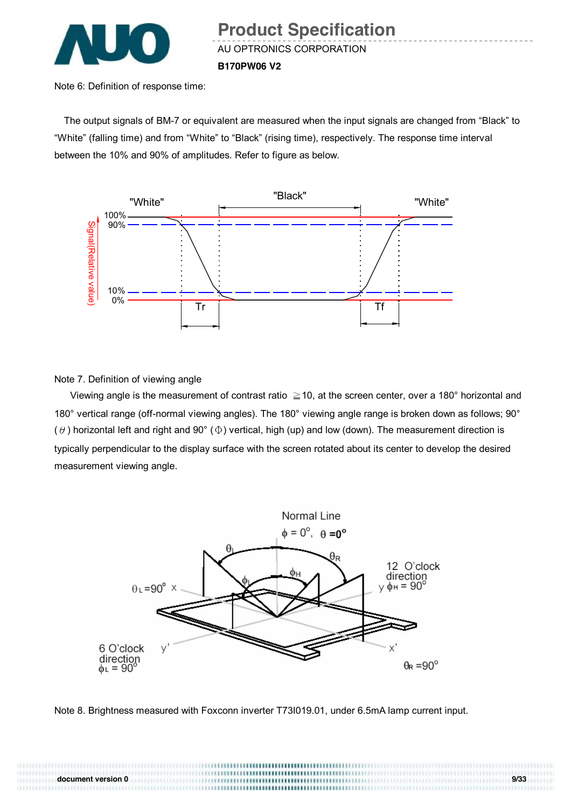

Note 6: Definition of response time:

The output signals of BM-7 or equivalent are measured when the input signals are changed from "Black" to "White" (falling time) and from "White" to "Black" (rising time), respectively. The response time interval between the 10% and 90% of amplitudes. Refer to figure as below.



Note 7. Definition of viewing angle

Viewing angle is the measurement of contrast ratio  $\geq$  10, at the screen center, over a 180° horizontal and 180° vertical range (off-normal viewing angles). The 180° viewing angle range is broken down as follows; 90° ( $\theta$ ) horizontal left and right and 90° ( $\Phi$ ) vertical, high (up) and low (down). The measurement direction is typically perpendicular to the display surface with the screen rotated about its center to develop the desired measurement viewing angle.



Note 8. Brightness measured with Foxconn inverter T73I019.01, under 6.5mA lamp current input.

**document version 0 9/33**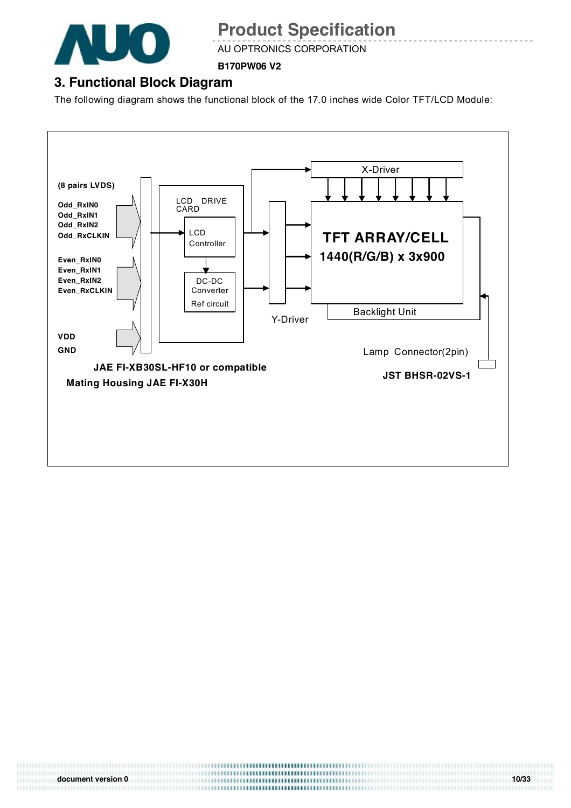

AU OPTRONICS CORPORATION

**B170PW06 V2**

## **3. Functional Block Diagram**

The following diagram shows the functional block of the 17.0 inches wide Color TFT/LCD Module:



0111111111 **document version 0 10/33**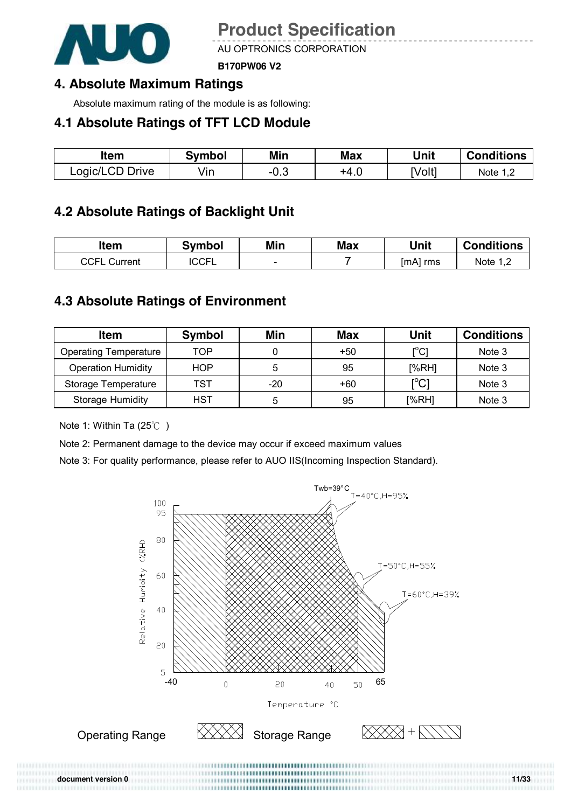

AU OPTRONICS CORPORATION

**B170PW06 V2**

### **4. Absolute Maximum Ratings**

Absolute maximum rating of the module is as following:

#### **4.1 Absolute Ratings of TFT LCD Module**

| ltem            | Svmbol | Min  | Max  | Unit  | <b>Conditions</b> |
|-----------------|--------|------|------|-------|-------------------|
| Logic/LCD Drive | √in    | −∪.◡ | +4.∪ | [Volt | Note $1, z$       |

## **4.2 Absolute Ratings of Backlight Unit**

| ltem                | Symbol       | Min                      | <b>Max</b> | Unit     | <b>Conditions</b> |
|---------------------|--------------|--------------------------|------------|----------|-------------------|
| <b>CCFL Current</b> | <b>ICCFL</b> | $\overline{\phantom{0}}$ |            | [mA] rms | Note $1,2$        |

### **4.3 Absolute Ratings of Environment**

| <b>Item</b>                  | <b>Symbol</b> | Min | <b>Max</b> | Unit                                    | <b>Conditions</b> |
|------------------------------|---------------|-----|------------|-----------------------------------------|-------------------|
| <b>Operating Temperature</b> | TOP           |     | $+50$      | [°C]                                    | Note 3            |
| <b>Operation Humidity</b>    | <b>HOP</b>    | 5   | 95         | [%RH]                                   | Note 3            |
| Storage Temperature          | TST           | -20 | +60        | $\mathsf{I}^\circ\mathsf{C} \mathsf{I}$ | Note 3            |
| <b>Storage Humidity</b>      | HST           | 5   | 95         | [%RH]                                   | Note 3            |

Note 1: Within Ta (25℃ )

Note 2: Permanent damage to the device may occur if exceed maximum values

Note 3: For quality performance, please refer to AUO IIS(Incoming Inspection Standard).

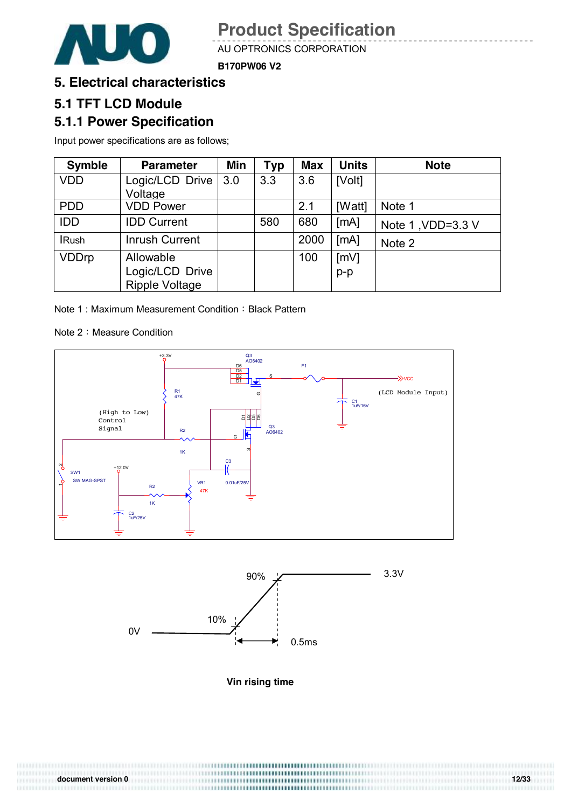

AU OPTRONICS CORPORATION

**B170PW06 V2**

#### **5. Electrical characteristics**

#### **5.1 TFT LCD Module**

#### **5.1.1 Power Specification**

Input power specifications are as follows;

| <b>Symble</b> | <b>Parameter</b>      | Min | <b>Typ</b> | <b>Max</b> | <b>Units</b> | <b>Note</b>       |
|---------------|-----------------------|-----|------------|------------|--------------|-------------------|
| <b>VDD</b>    | Logic/LCD Drive       | 3.0 | 3.3        | 3.6        | [Volt]       |                   |
|               | Voltage               |     |            |            |              |                   |
| <b>PDD</b>    | <b>VDD Power</b>      |     |            | 2.1        | [Watt]       | Note 1            |
| <b>IDD</b>    | <b>IDD Current</b>    |     | 580        | 680        | [MA]         | Note 1, VDD=3.3 V |
| <b>IRush</b>  | <b>Inrush Current</b> |     |            | 2000       | [MA]         | Note 2            |
| <b>VDDrp</b>  | Allowable             |     |            | 100        | [mV]         |                   |
|               | Logic/LCD Drive       |     |            |            | $p-p$        |                   |
|               | <b>Ripple Voltage</b> |     |            |            |              |                   |

Note 1 : Maximum Measurement Condition : Black Pattern

Note 2: Measure Condition

0111111111





**Vin rising time** 

**document version 0 12/33**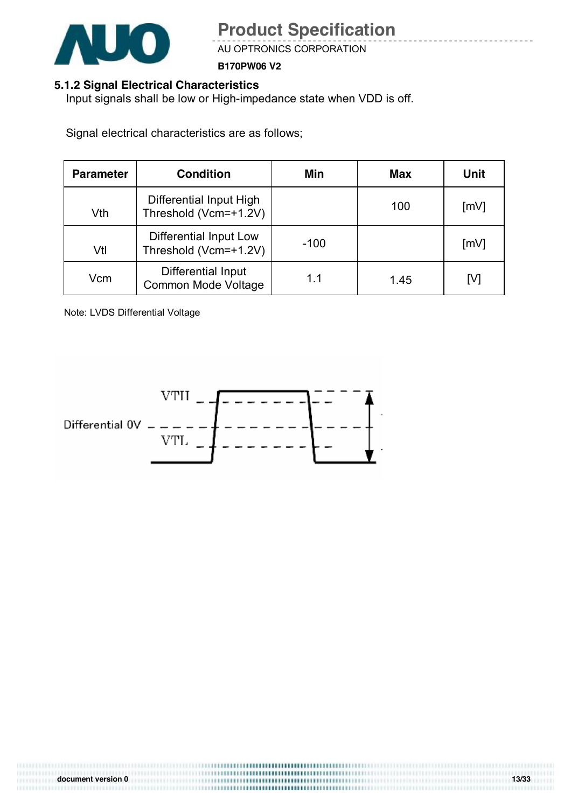

AU OPTRONICS CORPORATION

**B170PW06 V2**

#### **5.1.2 Signal Electrical Characteristics**

Input signals shall be low or High-impedance state when VDD is off.

Signal electrical characteristics are as follows;

| <b>Parameter</b> | <b>Condition</b>                                 | Min    | Max  | Unit |
|------------------|--------------------------------------------------|--------|------|------|
| Vth              | Differential Input High<br>Threshold (Vcm=+1.2V) |        | 100  | [mV] |
| Vtl              | Differential Input Low<br>Threshold (Vcm=+1.2V)  | $-100$ |      | [mV] |
| Vcm              | Differential Input<br>Common Mode Voltage        | 11     | 1.45 | ГV1  |

Note: LVDS Differential Voltage

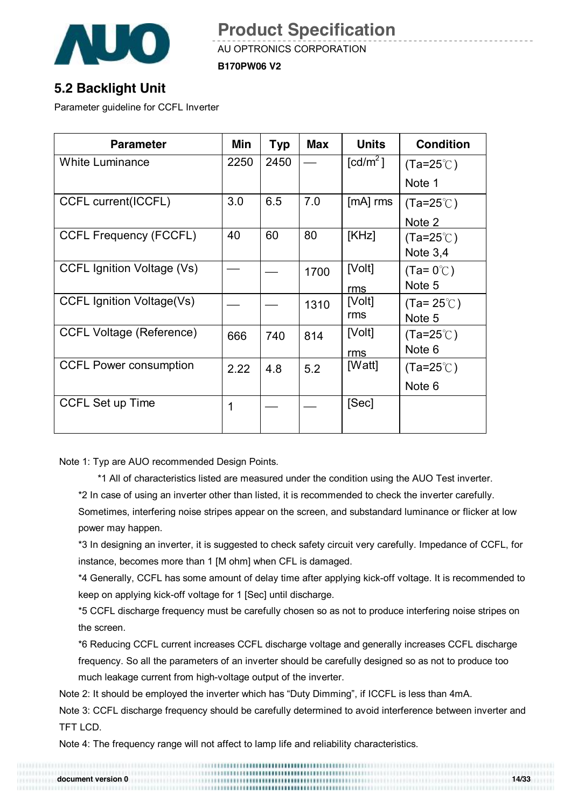

AU OPTRONICS CORPORATION

**B170PW06 V2**

### **5.2 Backlight Unit**

Parameter guideline for CCFL Inverter

| <b>Parameter</b>                | Min  | Typ  | <b>Max</b> | <b>Units</b>           | <b>Condition</b>    |
|---------------------------------|------|------|------------|------------------------|---------------------|
| <b>White Luminance</b>          | 2250 | 2450 |            | $\lceil cd/m^2 \rceil$ | $(Ta=25^{\circ}$ C) |
|                                 |      |      |            |                        | Note 1              |
| CCFL current(ICCFL)             | 3.0  | 6.5  | 7.0        | $[mA]$ rms             | $(Ta=25^{\circ}$ C) |
|                                 |      |      |            |                        | Note 2              |
| <b>CCFL Frequency (FCCFL)</b>   | 40   | 60   | 80         | [KHz]                  | $(Ta=25^{\circ}$ C) |
|                                 |      |      |            |                        | Note $3,4$          |
| CCFL Ignition Voltage (Vs)      |      |      | 1700       | [Volt]                 | $(Ta=0^{\circ}C)$   |
|                                 |      |      |            | rms                    | Note 5              |
| CCFL Ignition Voltage(Vs)       |      |      | 1310       | [Volt]                 | $(Ta=25^{\circ}$ C) |
|                                 |      |      |            | rms                    | Note 5              |
| <b>CCFL Voltage (Reference)</b> | 666  | 740  | 814        | [Volt]                 | $(Ta=25^{\circ}$ C) |
|                                 |      |      |            | rms                    | Note 6              |
| <b>CCFL Power consumption</b>   | 2.22 | 4.8  | 5.2        | [Watt]                 | $(Ta=25^{\circ}$ C) |
|                                 |      |      |            |                        | Note 6              |
| <b>CCFL Set up Time</b>         | 1    |      |            | [Sec]                  |                     |
|                                 |      |      |            |                        |                     |

Note 1: Typ are AUO recommended Design Points.

\*1 All of characteristics listed are measured under the condition using the AUO Test inverter.

\*2 In case of using an inverter other than listed, it is recommended to check the inverter carefully.

Sometimes, interfering noise stripes appear on the screen, and substandard luminance or flicker at low power may happen.

\*3 In designing an inverter, it is suggested to check safety circuit very carefully. Impedance of CCFL, for instance, becomes more than 1 [M ohm] when CFL is damaged.

\*4 Generally, CCFL has some amount of delay time after applying kick-off voltage. It is recommended to keep on applying kick-off voltage for 1 [Sec] until discharge.

\*5 CCFL discharge frequency must be carefully chosen so as not to produce interfering noise stripes on the screen.

\*6 Reducing CCFL current increases CCFL discharge voltage and generally increases CCFL discharge frequency. So all the parameters of an inverter should be carefully designed so as not to produce too much leakage current from high-voltage output of the inverter.

Note 2: It should be employed the inverter which has "Duty Dimming", if ICCFL is less than 4mA.

Note 3: CCFL discharge frequency should be carefully determined to avoid interference between inverter and TFT LCD.

Note 4: The frequency range will not affect to lamp life and reliability characteristics.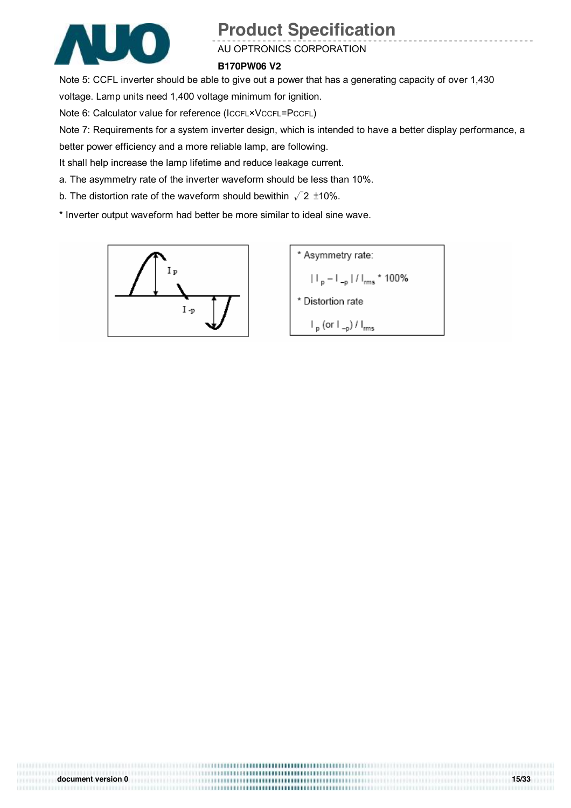

#### AU OPTRONICS CORPORATION

#### **B170PW06 V2**

Note 5: CCFL inverter should be able to give out a power that has a generating capacity of over 1,430 voltage. Lamp units need 1,400 voltage minimum for ignition.

Note 6: Calculator value for reference (ICCFL×VCCFL=PCCFL)

Note 7: Requirements for a system inverter design, which is intended to have a better display performance, a

better power efficiency and a more reliable lamp, are following.

It shall help increase the lamp lifetime and reduce leakage current.

a. The asymmetry rate of the inverter waveform should be less than 10%.

b. The distortion rate of the waveform should bewithin  $\sqrt{2}$  ±10%.

\* Inverter output waveform had better be more similar to ideal sine wave.



**document version 0 15/33**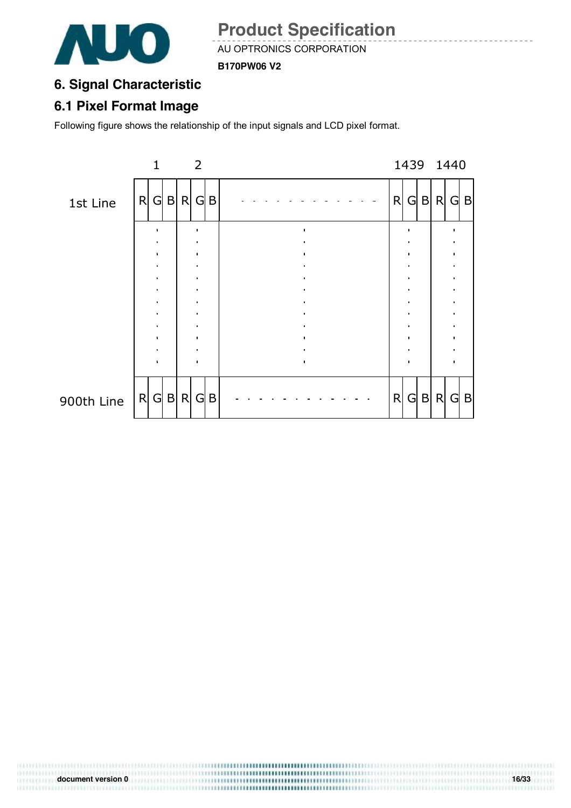

AU OPTRONICS CORPORATION

**B170PW06 V2**

## **6. Signal Characteristic**

### **6.1 Pixel Format Image**

Following figure shows the relationship of the input signals and LCD pixel format.

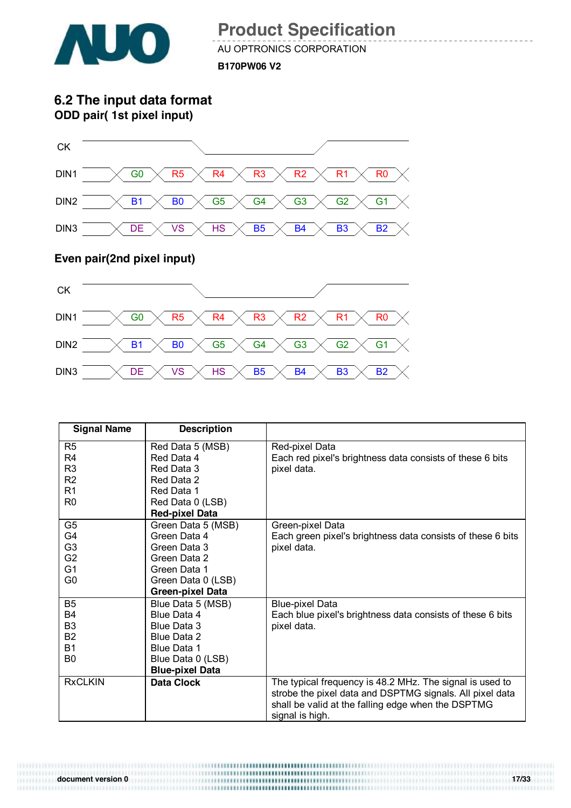

AU OPTRONICS CORPORATION

**B170PW06 V2**

**6.2 The input data format ODD pair( 1st pixel input)**



#### **Even pair(2nd pixel input)**

0111111111



| <b>Signal Name</b> | <b>Description</b>      |                                                             |
|--------------------|-------------------------|-------------------------------------------------------------|
| R <sub>5</sub>     | Red Data 5 (MSB)        | Red-pixel Data                                              |
| R4                 | Red Data 4              | Each red pixel's brightness data consists of these 6 bits   |
| R <sub>3</sub>     | Red Data 3              | pixel data.                                                 |
| R <sub>2</sub>     | Red Data 2              |                                                             |
| R <sub>1</sub>     | Red Data 1              |                                                             |
| R <sub>0</sub>     | Red Data 0 (LSB)        |                                                             |
|                    | <b>Red-pixel Data</b>   |                                                             |
| G <sub>5</sub>     | Green Data 5 (MSB)      | Green-pixel Data                                            |
| G4                 | Green Data 4            | Each green pixel's brightness data consists of these 6 bits |
| G <sub>3</sub>     | Green Data 3            | pixel data.                                                 |
| G <sub>2</sub>     | Green Data 2            |                                                             |
| G <sub>1</sub>     | Green Data 1            |                                                             |
| G0                 | Green Data 0 (LSB)      |                                                             |
|                    | <b>Green-pixel Data</b> |                                                             |
| B <sub>5</sub>     | Blue Data 5 (MSB)       | <b>Blue-pixel Data</b>                                      |
| <b>B4</b>          | Blue Data 4             | Each blue pixel's brightness data consists of these 6 bits  |
| B <sub>3</sub>     | Blue Data 3             | pixel data.                                                 |
| <b>B2</b>          | Blue Data 2             |                                                             |
| <b>B1</b>          | Blue Data 1             |                                                             |
| B <sub>0</sub>     | Blue Data 0 (LSB)       |                                                             |
|                    | <b>Blue-pixel Data</b>  |                                                             |
| <b>RxCLKIN</b>     | <b>Data Clock</b>       | The typical frequency is 48.2 MHz. The signal is used to    |
|                    |                         | strobe the pixel data and DSPTMG signals. All pixel data    |
|                    |                         | shall be valid at the falling edge when the DSPTMG          |
|                    |                         | signal is high.                                             |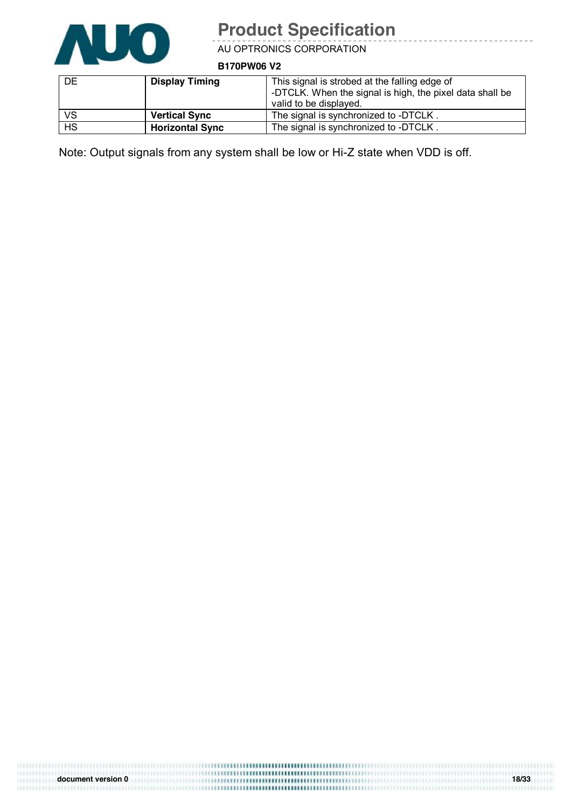

AU OPTRONICS CORPORATION

**B170PW06 V2**

| DE        | <b>Display Timing</b>  | This signal is strobed at the falling edge of<br>-DTCLK. When the signal is high, the pixel data shall be<br>valid to be displayed. |
|-----------|------------------------|-------------------------------------------------------------------------------------------------------------------------------------|
| <b>VS</b> | <b>Vertical Sync</b>   | The signal is synchronized to -DTCLK.                                                                                               |
| <b>HS</b> | <b>Horizontal Sync</b> | The signal is synchronized to -DTCLK.                                                                                               |

Note: Output signals from any system shall be low or Hi-Z state when VDD is off.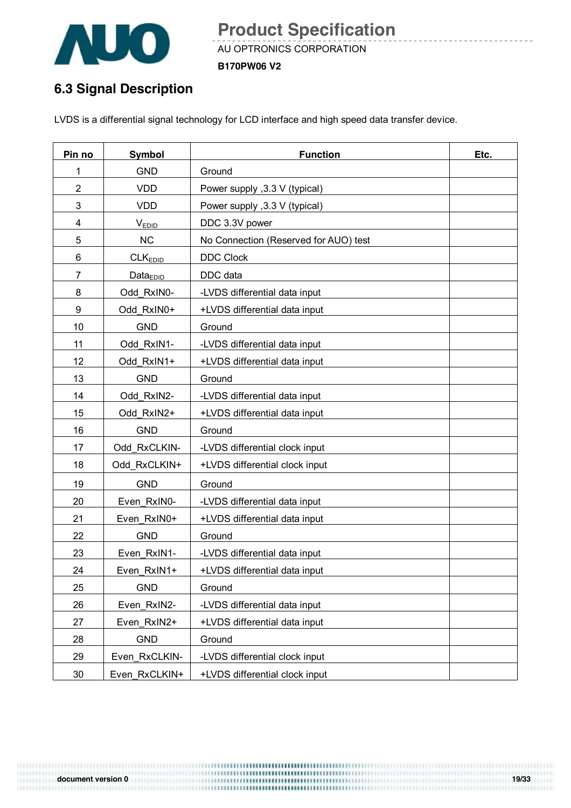

AU OPTRONICS CORPORATION

**B170PW06 V2**

## **6.3 Signal Description**

LVDS is a differential signal technology for LCD interface and high speed data transfer device.

| Pin no         | Symbol              | <b>Function</b>                       | Etc. |
|----------------|---------------------|---------------------------------------|------|
| 1              | <b>GND</b>          | Ground                                |      |
| $\overline{2}$ | <b>VDD</b>          | Power supply , 3.3 V (typical)        |      |
| 3              | <b>VDD</b>          | Power supply , 3.3 V (typical)        |      |
| 4              | <b>VEDID</b>        | DDC 3.3V power                        |      |
| 5              | <b>NC</b>           | No Connection (Reserved for AUO) test |      |
| 6              | CLK <sub>EDID</sub> | <b>DDC Clock</b>                      |      |
| $\overline{7}$ | $Data_{EDID}$       | DDC data                              |      |
| 8              | Odd_RxIN0-          | -LVDS differential data input         |      |
| 9              | Odd RxIN0+          | +LVDS differential data input         |      |
| 10             | <b>GND</b>          | Ground                                |      |
| 11             | Odd RxIN1-          | -LVDS differential data input         |      |
| 12             | Odd RxIN1+          | +LVDS differential data input         |      |
| 13             | <b>GND</b>          | Ground                                |      |
| 14             | Odd RxIN2-          | -LVDS differential data input         |      |
| 15             | Odd RxIN2+          | +LVDS differential data input         |      |
| 16             | <b>GND</b>          | Ground                                |      |
| 17             | Odd RxCLKIN-        | -LVDS differential clock input        |      |
| 18             | Odd_RxCLKIN+        | +LVDS differential clock input        |      |
| 19             | <b>GND</b>          | Ground                                |      |
| 20             | Even RxIN0-         | -LVDS differential data input         |      |
| 21             | Even RxIN0+         | +LVDS differential data input         |      |
| 22             | <b>GND</b>          | Ground                                |      |
| 23             | Even RxIN1-         | -LVDS differential data input         |      |
| 24             | Even RxIN1+         | +LVDS differential data input         |      |
| 25             | <b>GND</b>          | Ground                                |      |
| 26             | Even_RxIN2-         | -LVDS differential data input         |      |
| 27             | Even RxIN2+         | +LVDS differential data input         |      |
| 28             | <b>GND</b>          | Ground                                |      |
| 29             | Even_RxCLKIN-       | -LVDS differential clock input        |      |
| 30             | Even_RxCLKIN+       | +LVDS differential clock input        |      |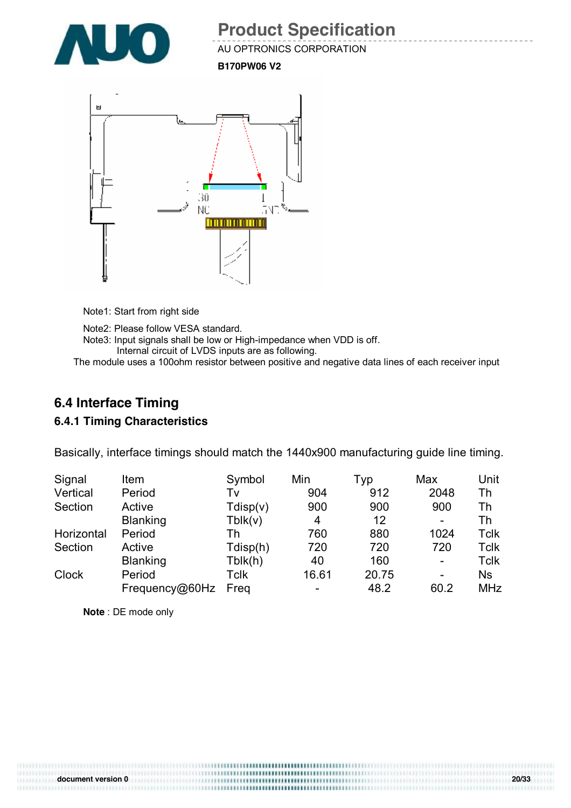

AU OPTRONICS CORPORATION

**B170PW06 V2**



Note1: Start from right side

Note2: Please follow VESA standard. Note3: Input signals shall be low or High-impedance when VDD is off. Internal circuit of LVDS inputs are as following.

The module uses a 100ohm resistor between positive and negative data lines of each receiver input

#### **6.4 Interface Timing**

#### **6.4.1 Timing Characteristics**

Basically, interface timings should match the 1440x900 manufacturing guide line timing.

| Signal       | Item            | Symbol   | Min   | Typ   | Max                      | Unit       |
|--------------|-----------------|----------|-------|-------|--------------------------|------------|
| Vertical     | Period          | Tv       | 904   | 912   | 2048                     | Th         |
| Section      | Active          | Tdisp(v) | 900   | 900   | 900                      | Th         |
|              | <b>Blanking</b> | Tblk(v)  | 4     | 12    | -                        | Th         |
| Horizontal   | Period          | Th       | 760   | 880   | 1024                     | Tclk       |
| Section      | Active          | Tdisp(h) | 720   | 720   | 720                      | Tclk       |
|              | <b>Blanking</b> | Tblk(h)  | 40    | 160   | $\overline{\phantom{a}}$ | Tclk       |
| <b>Clock</b> | Period          | Tclk     | 16.61 | 20.75 | -                        | <b>Ns</b>  |
|              | Frequency@60Hz  | Freg     |       | 48.2  | 60.2                     | <b>MHz</b> |

**Note** : DE mode only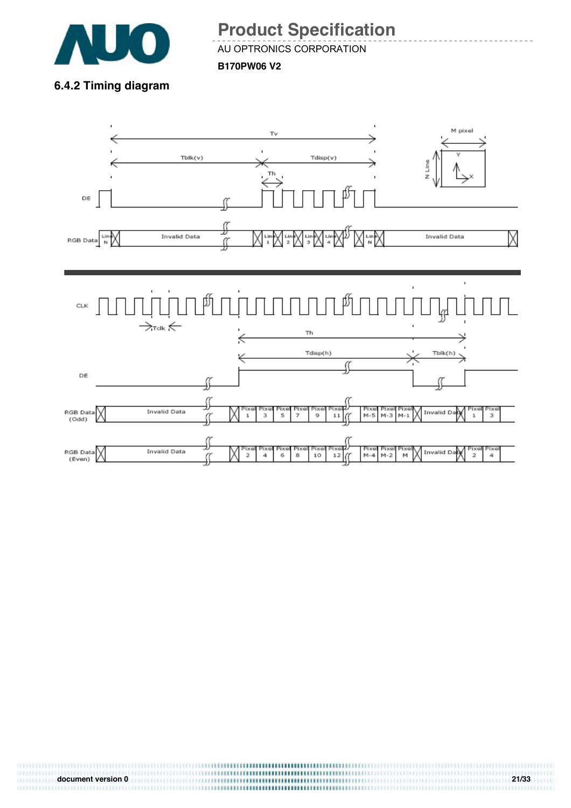

AU OPTRONICS CORPORATION

**B170PW06 V2**

### **6.4.2 Timing diagram**



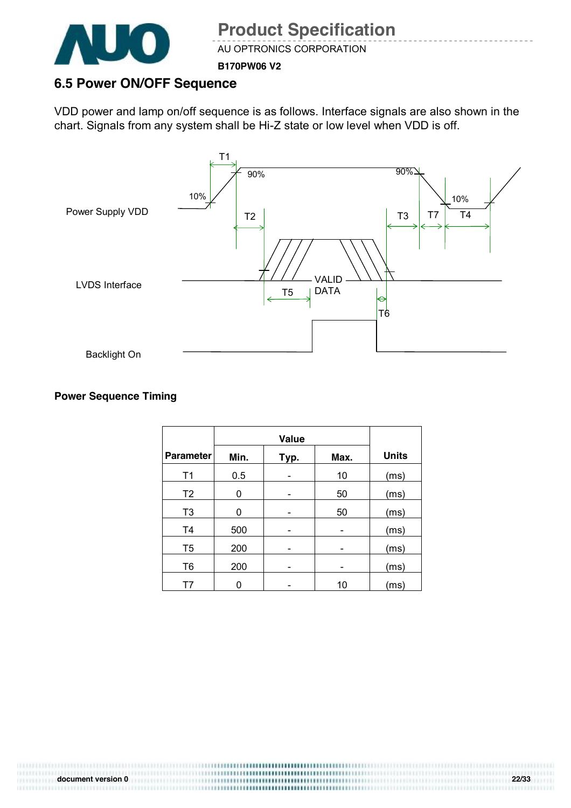

AU OPTRONICS CORPORATION

**B170PW06 V2**

### **6.5 Power ON/OFF Sequence**

VDD power and lamp on/off sequence is as follows. Interface signals are also shown in the chart. Signals from any system shall be Hi-Z state or low level when VDD is off.



#### **Power Sequence Timing**

|                  |      | Value |      |              |
|------------------|------|-------|------|--------------|
| <b>Parameter</b> | Min. | Typ.  | Max. | <b>Units</b> |
| T1               | 0.5  |       | 10   | (ms)         |
| T <sub>2</sub>   | 0    |       | 50   | (ms)         |
| T <sub>3</sub>   | 0    |       | 50   | (ms)         |
| T <sub>4</sub>   | 500  |       |      | (ms)         |
| T <sub>5</sub>   | 200  |       |      | (ms)         |
| T <sub>6</sub>   | 200  |       |      | (ms)         |
| Τ7               |      |       | 10   | (ms)         |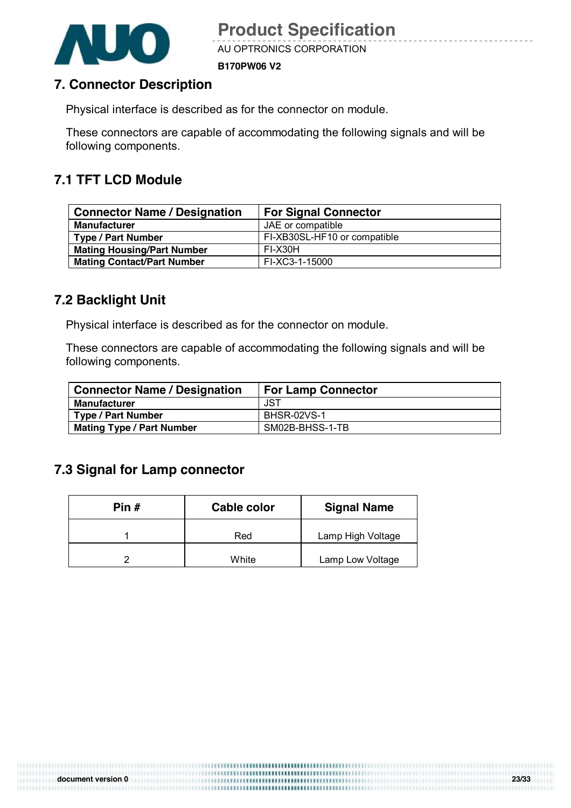



AU OPTRONICS CORPORATION

**B170PW06 V2**

#### **7. Connector Description**

Physical interface is described as for the connector on module.

These connectors are capable of accommodating the following signals and will be following components.

#### **7.1 TFT LCD Module**

| <b>Connector Name / Designation</b> | <b>For Signal Connector</b>  |  |
|-------------------------------------|------------------------------|--|
| <b>Manufacturer</b>                 | JAE or compatible            |  |
| <b>Type / Part Number</b>           | FI-XB30SL-HF10 or compatible |  |
| <b>Mating Housing/Part Number</b>   | FI-X30H                      |  |
| <b>Mating Contact/Part Number</b>   | FI-XC3-1-15000               |  |

#### **7.2 Backlight Unit**

Physical interface is described as for the connector on module.

These connectors are capable of accommodating the following signals and will be following components.

| <b>Connector Name / Designation</b> | <b>For Lamp Connector</b> |
|-------------------------------------|---------------------------|
| <b>Manufacturer</b>                 | JST                       |
| <b>Type / Part Number</b>           | <b>BHSR-02VS-1</b>        |
| <b>Mating Type / Part Number</b>    | SM02B-BHSS-1-TB           |

#### **7.3 Signal for Lamp connector**

| Pin # | Cable color | <b>Signal Name</b> |
|-------|-------------|--------------------|
|       | Red         | Lamp High Voltage  |
|       | White       | Lamp Low Voltage   |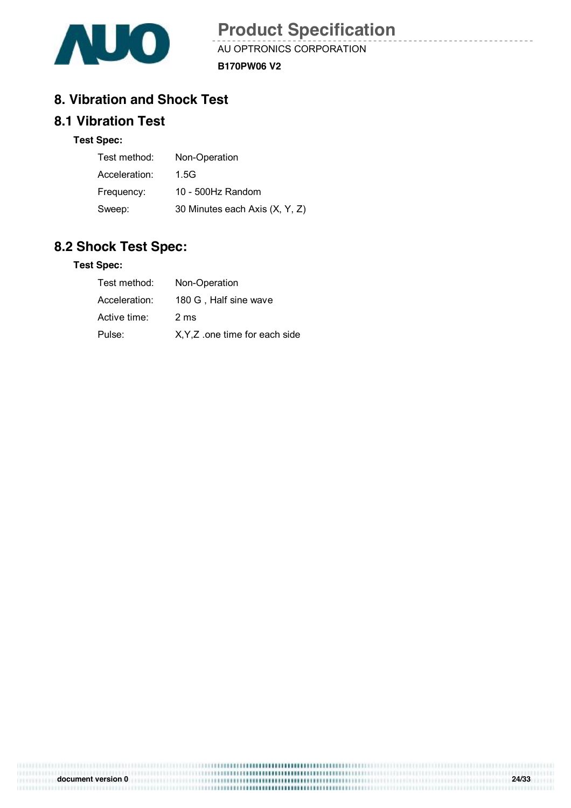

AU OPTRONICS CORPORATION

**B170PW06 V2**

#### **8. Vibration and Shock Test**

#### **8.1 Vibration Test**

#### **Test Spec:**

| Test method:  | Non-Operation                  |
|---------------|--------------------------------|
| Acceleration: | 1.5G                           |
| Frequency:    | 10 - 500Hz Random              |
| Sweep:        | 30 Minutes each Axis (X, Y, Z) |

#### **8.2 Shock Test Spec:**

#### **Test Spec:**

| Test method:  | Non-Operation                  |
|---------------|--------------------------------|
| Acceleration: | 180 G. Half sine wave          |
| Active time:  | 2 <sub>ms</sub>                |
| Pulse:        | X, Y, Z one time for each side |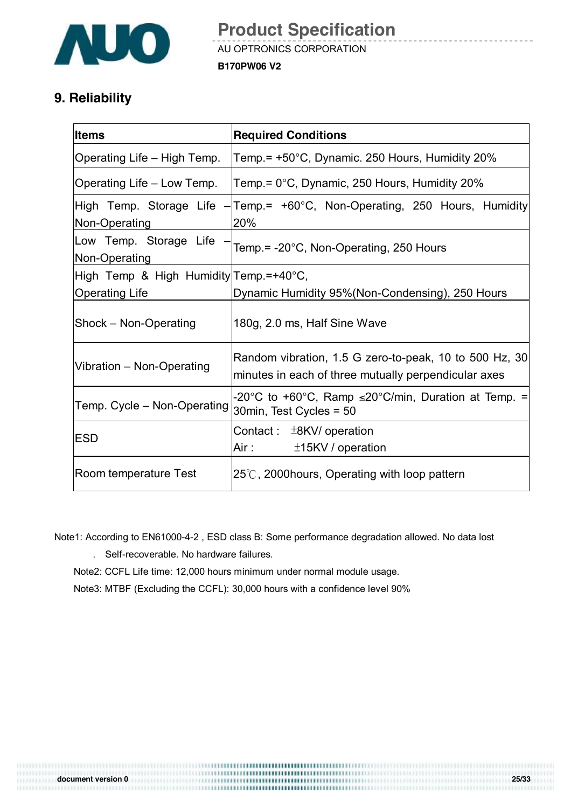

## **9. Reliability**

| <b>Items</b>                            | <b>Required Conditions</b>                                                                                     |  |  |
|-----------------------------------------|----------------------------------------------------------------------------------------------------------------|--|--|
| Operating Life – High Temp.             | Temp.= +50°C, Dynamic. 250 Hours, Humidity 20%                                                                 |  |  |
| Operating Life – Low Temp.              | Temp.= 0°C, Dynamic, 250 Hours, Humidity 20%                                                                   |  |  |
| Non-Operating                           | High Temp. Storage Life - Temp. = +60°C, Non-Operating, 250 Hours, Humidity<br>20%                             |  |  |
| Low Temp. Storage Life<br>Non-Operating | Temp.= -20°C, Non-Operating, 250 Hours                                                                         |  |  |
| High Temp & High Humidity Temp.=+40°C,  |                                                                                                                |  |  |
| <b>Operating Life</b>                   | Dynamic Humidity 95% (Non-Condensing), 250 Hours                                                               |  |  |
| Shock - Non-Operating                   | 180g, 2.0 ms, Half Sine Wave                                                                                   |  |  |
| Vibration - Non-Operating               | Random vibration, 1.5 G zero-to-peak, 10 to 500 Hz, 30<br>minutes in each of three mutually perpendicular axes |  |  |
| Temp. Cycle - Non-Operating             | -20°C to +60°C, Ramp $\leq$ 20°C/min, Duration at Temp. =<br>30min, Test Cycles = 50                           |  |  |
| <b>ESD</b>                              | Contact: $\pm$ 8KV/ operation<br>Air : The Sea<br>$±15$ KV / operation                                         |  |  |
| Room temperature Test                   | $25^{\circ}$ C, 2000 hours, Operating with loop pattern                                                        |  |  |

Note1: According to EN61000-4-2 , ESD class B: Some performance degradation allowed. No data lost

. Self-recoverable. No hardware failures.

Note2: CCFL Life time: 12,000 hours minimum under normal module usage.

Note3: MTBF (Excluding the CCFL): 30,000 hours with a confidence level 90%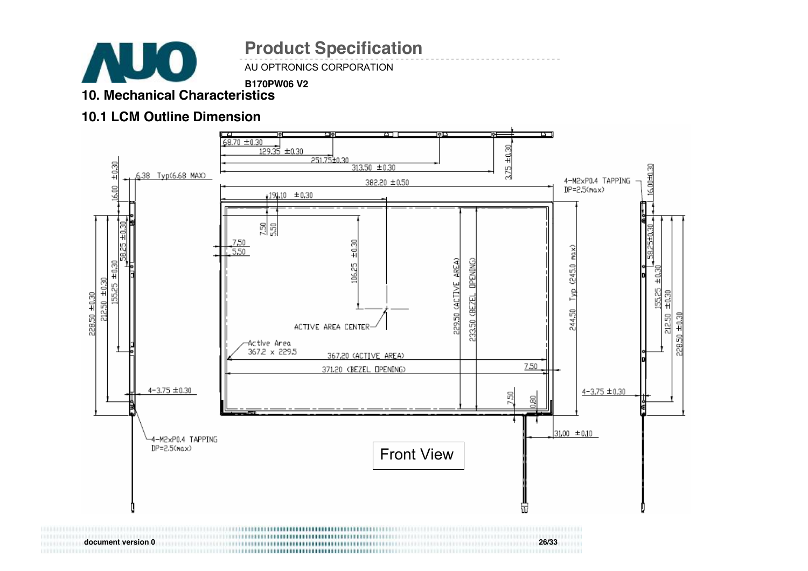

AU OPTRONICS CORPORATION

**B170PW06 V2**

# **10. Mechanical Characteristics**

#### **10.1 LCM Outline Dimension**



**document version 0 26/33**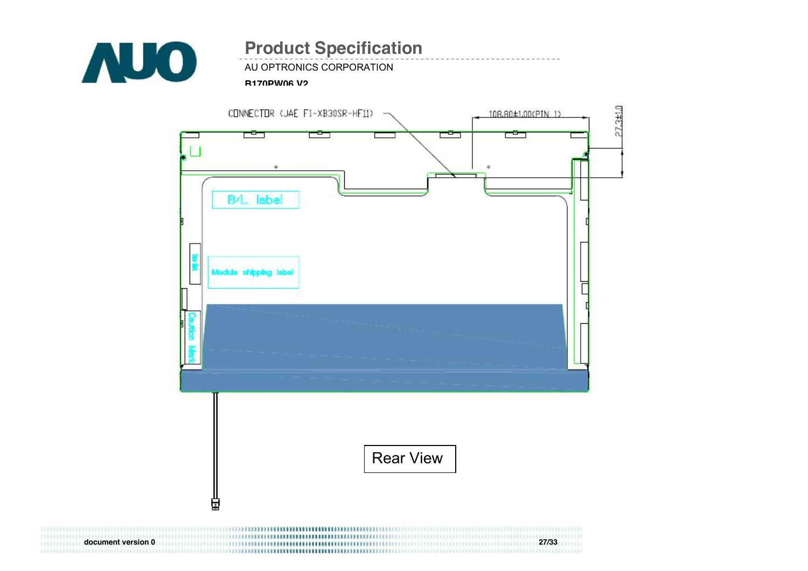

AU OPTRONICS CORPORATION

#### **B170PW06 V2**

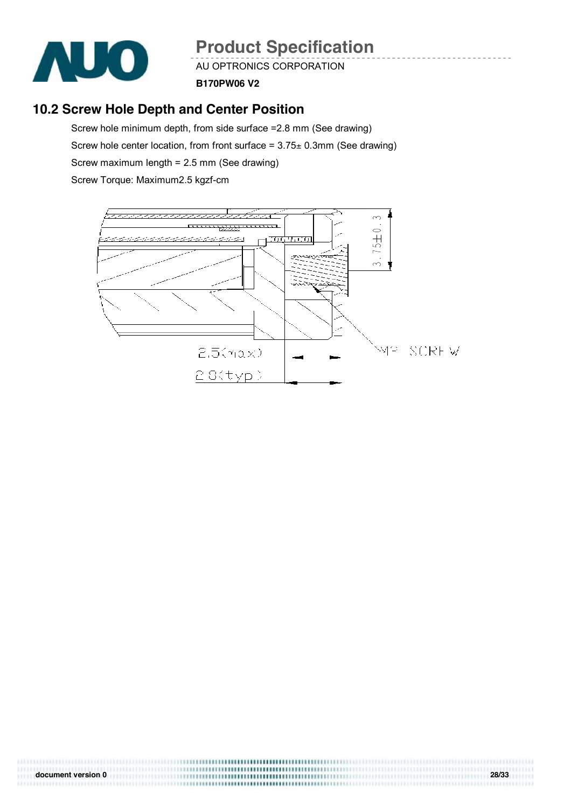

AU OPTRONICS CORPORATION

**B170PW06 V2**

## **10.2 Screw Hole Depth and Center Position**

Screw hole minimum depth, from side surface =2.8 mm (See drawing) Screw hole center location, from front surface =  $3.75 \pm 0.3$ mm (See drawing) Screw maximum length = 2.5 mm (See drawing) Screw Torque: Maximum2.5 kgzf-cm



| document version 0 | 28/33 |
|--------------------|-------|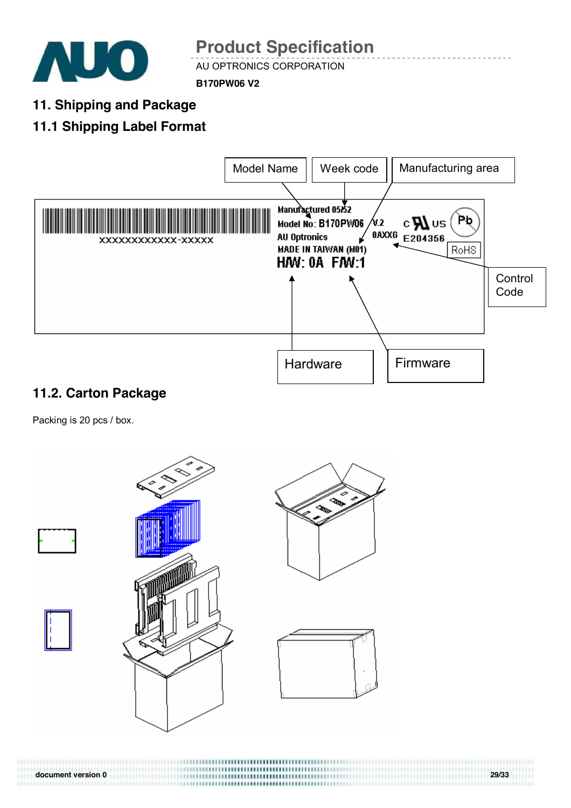

AU OPTRONICS CORPORATION

**B170PW06 V2**

**11. Shipping and Package** 

## **11.1 Shipping Label Format**



## **11.2. Carton Package**

Packing is 20 pcs / box.



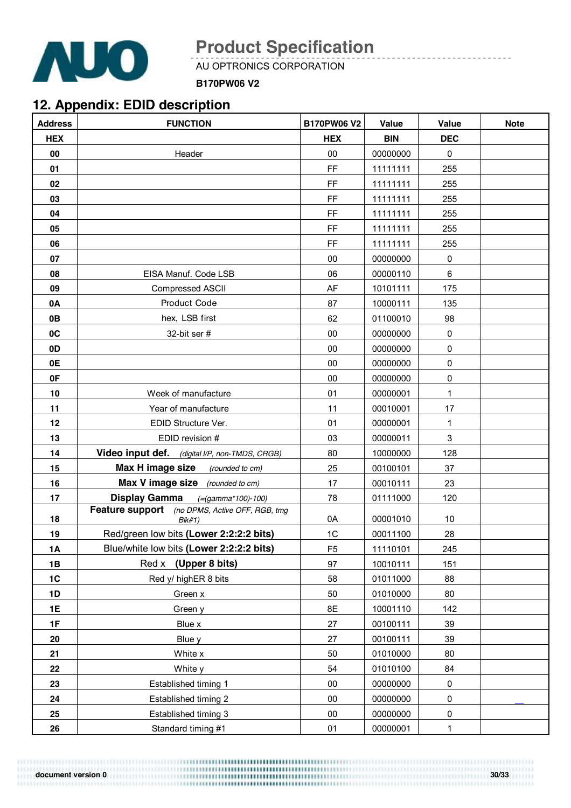

----------------------

AU OPTRONICS CORPORATION

**B170PW06 V2**

## **12. Appendix: EDID description**

| <b>Address</b> | <b>FUNCTION</b>                                                    | <b>B170PW06 V2</b> | Value      | Value       | <b>Note</b> |
|----------------|--------------------------------------------------------------------|--------------------|------------|-------------|-------------|
| <b>HEX</b>     |                                                                    | <b>HEX</b>         | <b>BIN</b> | <b>DEC</b>  |             |
| 00             | Header                                                             | 00                 | 00000000   | 0           |             |
| 01             |                                                                    | FF                 | 11111111   | 255         |             |
| 02             |                                                                    | FF                 | 11111111   | 255         |             |
| 03             |                                                                    | FF                 | 11111111   | 255         |             |
| 04             |                                                                    | FF                 | 11111111   | 255         |             |
| 05             |                                                                    | FF                 | 11111111   | 255         |             |
| 06             |                                                                    | FF                 | 11111111   | 255         |             |
| 07             |                                                                    | 00                 | 00000000   | 0           |             |
| 08             | EISA Manuf. Code LSB                                               | 06                 | 00000110   | 6           |             |
| 09             | Compressed ASCII                                                   | AF                 | 10101111   | 175         |             |
| 0A             | Product Code                                                       | 87                 | 10000111   | 135         |             |
| 0B             | hex, LSB first                                                     | 62                 | 01100010   | 98          |             |
| 0C             | 32-bit ser #                                                       | 00                 | 00000000   | $\pmb{0}$   |             |
| 0D             |                                                                    | 00                 | 00000000   | $\pmb{0}$   |             |
| 0E             |                                                                    | 00                 | 00000000   | $\pmb{0}$   |             |
| 0F             |                                                                    | 00                 | 00000000   | 0           |             |
| 10             | Week of manufacture                                                | 01                 | 00000001   | 1           |             |
| 11             | Year of manufacture                                                | 11                 | 00010001   | 17          |             |
| 12             | EDID Structure Ver.                                                | 01                 | 00000001   | 1           |             |
| 13             | EDID revision #                                                    | 03                 | 00000011   | $\mathsf 3$ |             |
| 14             | Video input def. (digital I/P, non-TMDS, CRGB)                     | 80                 | 10000000   | 128         |             |
| 15             | Max H image size<br>(rounded to cm)                                | 25                 | 00100101   | 37          |             |
| 16             | Max V image size (rounded to cm)                                   | 17                 | 00010111   | 23          |             |
| 17             | <b>Display Gamma</b><br>$( = (gamma * 100) - 100)$                 | 78                 | 01111000   | 120         |             |
| 18             | (no DPMS, Active OFF, RGB, tmg<br><b>Feature support</b><br>Blk#1) | 0A                 | 00001010   | 10          |             |
| 19             | Red/green low bits (Lower 2:2:2:2 bits)                            | 1C                 | 00011100   | 28          |             |
| <b>1A</b>      | Blue/white low bits (Lower 2:2:2:2 bits)                           | F <sub>5</sub>     | 11110101   | 245         |             |
| 1B             | Red x (Upper 8 bits)                                               | 97                 | 10010111   | 151         |             |
| 1C             | Red y/ highER 8 bits                                               | 58                 | 01011000   | 88          |             |
| 1D             | Green x                                                            | 50                 | 01010000   | 80          |             |
| 1E             | Green y                                                            | 8E                 | 10001110   | 142         |             |
| 1F             | Blue x                                                             | 27                 | 00100111   | 39          |             |
| 20             | Blue y                                                             | 27                 | 00100111   | 39          |             |
| 21             | White x                                                            | 50                 | 01010000   | 80          |             |
| 22             | White y                                                            | 54                 | 01010100   | 84          |             |
| 23             | Established timing 1                                               | 00                 | 00000000   | $\pmb{0}$   |             |
| 24             | Established timing 2                                               | $00\,$             | 00000000   | $\pmb{0}$   |             |
| 25             | Established timing 3                                               | $00\,$             | 00000000   | $\pmb{0}$   |             |
| 26             | Standard timing #1                                                 | 01                 | 00000001   | $\mathbf 1$ |             |

**document** version 0 30/33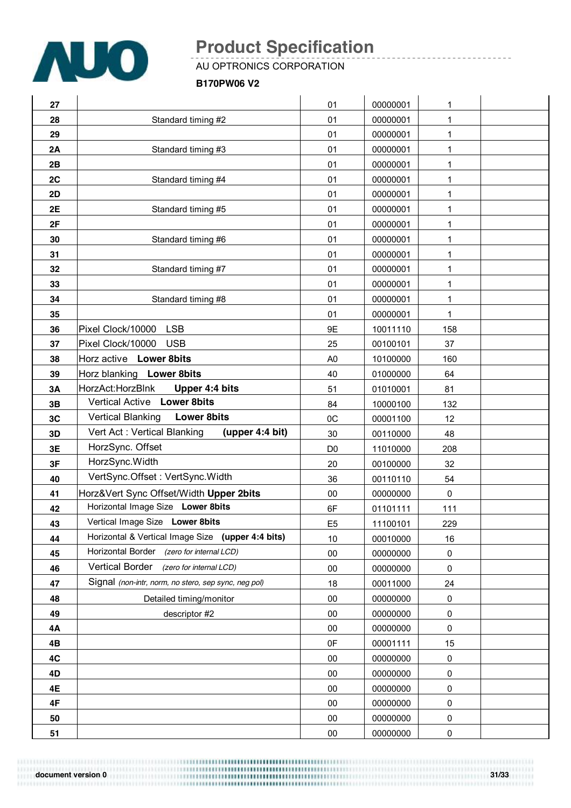

\_\_\_\_\_\_\_\_\_\_\_\_\_\_\_\_\_\_\_\_\_\_\_

AU OPTRONICS CORPORATION

#### **B170PW06 V2**

| 27 |                                                      | 01             | 00000001 | 1           |  |
|----|------------------------------------------------------|----------------|----------|-------------|--|
| 28 | Standard timing #2                                   | 01             | 00000001 | 1           |  |
| 29 |                                                      | 01             | 00000001 | 1           |  |
| 2A | Standard timing #3                                   | 01             | 00000001 | 1           |  |
| 2B |                                                      | 01             | 00000001 | 1           |  |
| 2C | Standard timing #4                                   | 01             | 00000001 | 1           |  |
| 2D |                                                      | 01             | 00000001 | $\mathbf 1$ |  |
| 2E | Standard timing #5                                   | 01             | 00000001 | 1           |  |
| 2F |                                                      | 01             | 00000001 | 1           |  |
| 30 | Standard timing #6                                   | 01             | 00000001 | 1           |  |
| 31 |                                                      | 01             | 00000001 | 1           |  |
| 32 | Standard timing #7                                   | 01             | 00000001 | 1           |  |
| 33 |                                                      | 01             | 00000001 | $\mathbf 1$ |  |
| 34 | Standard timing #8                                   | 01             | 00000001 | 1           |  |
| 35 |                                                      | 01             | 00000001 | 1           |  |
| 36 | Pixel Clock/10000 LSB                                | 9E             | 10011110 | 158         |  |
| 37 | Pixel Clock/10000 USB                                | 25             | 00100101 | 37          |  |
| 38 | Horz active Lower 8bits                              | A <sub>0</sub> | 10100000 | 160         |  |
| 39 | Horz blanking Lower 8bits                            | 40             | 01000000 | 64          |  |
| 3A | HorzAct: HorzBlnk<br>Upper 4:4 bits                  | 51             | 01010001 | 81          |  |
| 3B | Vertical Active Lower 8bits                          | 84             | 10000100 | 132         |  |
| 3C | <b>Vertical Blanking</b><br><b>Lower 8bits</b>       | OC             | 00001100 | 12          |  |
| 3D | Vert Act: Vertical Blanking<br>(upper 4:4 bit)       | 30             | 00110000 | 48          |  |
| 3E | HorzSync. Offset                                     | D <sub>0</sub> | 11010000 | 208         |  |
| 3F | HorzSync.Width                                       | 20             | 00100000 | 32          |  |
| 40 | VertSync.Offset: VertSync.Width                      | 36             | 00110110 | 54          |  |
| 41 | Horz‖ Sync Offset/Width Upper 2bits                  | 00             | 00000000 | 0           |  |
| 42 | Horizontal Image Size Lower 8bits                    | 6F             | 01101111 | 111         |  |
| 43 | Vertical Image Size Lower 8bits                      | E <sub>5</sub> | 11100101 | 229         |  |
| 44 | Horizontal & Vertical Image Size (upper 4:4 bits)    | 10             | 00010000 | 16          |  |
| 45 | Horizontal Border (zero for internal LCD)            | 00             | 00000000 | $\pmb{0}$   |  |
| 46 | Vertical Border<br>(zero for internal LCD)           | $00\,$         | 00000000 | 0           |  |
| 47 | Signal (non-intr, norm, no stero, sep sync, neg pol) | 18             | 00011000 | 24          |  |
| 48 | Detailed timing/monitor                              | 00             | 00000000 | 0           |  |
| 49 | descriptor #2                                        | $00\,$         | 00000000 | 0           |  |
| 4A |                                                      | 00             | 00000000 | 0           |  |
| 4B |                                                      | 0F             | 00001111 | 15          |  |
| 4C |                                                      | $00\,$         | 00000000 | $\pmb{0}$   |  |
| 4D |                                                      | 00             | 00000000 | 0           |  |
| 4E |                                                      | $00\,$         | 00000000 | 0           |  |
| 4F |                                                      | $00\,$         | 00000000 | 0           |  |
| 50 |                                                      | 00             | 00000000 | 0           |  |
| 51 |                                                      | $00\,$         | 00000000 | $\pmb{0}$   |  |

**document** version 0 31/33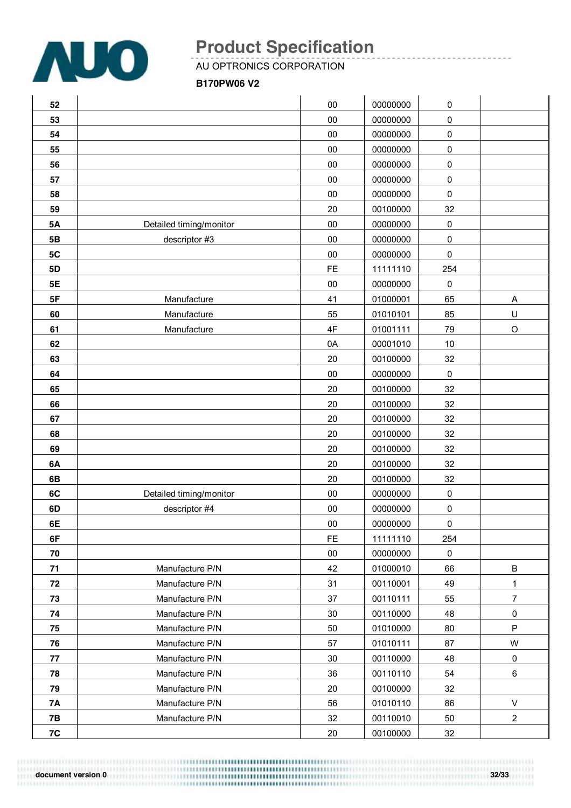

\_\_\_\_\_\_\_\_\_\_\_\_\_\_\_\_\_\_\_\_\_\_\_

AU OPTRONICS CORPORATION

#### **B170PW06 V2**

| 52            |                         | 00        | 00000000 | 0           |                |
|---------------|-------------------------|-----------|----------|-------------|----------------|
| 53            |                         | 00        | 00000000 | $\mathsf 0$ |                |
| 54            |                         | 00        | 00000000 | 0           |                |
| 55            |                         | 00        | 00000000 | 0           |                |
| 56            |                         | 00        | 00000000 | 0           |                |
| 57            |                         | 00        | 00000000 | 0           |                |
| 58            |                         | 00        | 00000000 | $\mathsf 0$ |                |
| 59            |                         | 20        | 00100000 | 32          |                |
| <b>5A</b>     | Detailed timing/monitor | 00        | 00000000 | $\pmb{0}$   |                |
| 5B            | descriptor #3           | 00        | 00000000 | 0           |                |
| 5C            |                         | 00        | 00000000 | 0           |                |
| 5D            |                         | <b>FE</b> | 11111110 | 254         |                |
| <b>5E</b>     |                         | 00        | 00000000 | $\pmb{0}$   |                |
| 5F            | Manufacture             | 41        | 01000001 | 65          | A              |
| 60            | Manufacture             | 55        | 01010101 | 85          | U              |
| 61            | Manufacture             | 4F        | 01001111 | 79          | $\circ$        |
| 62            |                         | 0A        | 00001010 | 10          |                |
| 63            |                         | 20        | 00100000 | 32          |                |
| 64            |                         | 00        | 00000000 | $\pmb{0}$   |                |
| 65            |                         | 20        | 00100000 | 32          |                |
| 66            |                         | 20        | 00100000 | 32          |                |
| 67            |                         | 20        | 00100000 | 32          |                |
| 68            |                         | 20        | 00100000 | 32          |                |
| 69            |                         | 20        | 00100000 | 32          |                |
| 6A            |                         | 20        | 00100000 | 32          |                |
| 6B            |                         | 20        | 00100000 | 32          |                |
| 6C            | Detailed timing/monitor | 00        | 00000000 | 0           |                |
| 6D            | descriptor #4           | 00        | 00000000 | 0           |                |
| 6E            |                         | $00\,$    | 00000000 | $\Omega$    |                |
| 6F            |                         | FE.       | 11111110 | 254         |                |
| 70            |                         | $00\,$    | 00000000 | $\mathsf 0$ |                |
| 71            | Manufacture P/N         | 42        | 01000010 | 66          | $\sf B$        |
| 72            | Manufacture P/N         | 31        | 00110001 | 49          | $\mathbf{1}$   |
| 73            | Manufacture P/N         | 37        | 00110111 | 55          | $\overline{7}$ |
| 74            | Manufacture P/N         | 30        | 00110000 | 48          | $\pmb{0}$      |
| 75            | Manufacture P/N         | 50        | 01010000 | 80          | $\sf P$        |
| 76            | Manufacture P/N         | 57        | 01010111 | 87          | W              |
| 77            | Manufacture P/N         | 30        | 00110000 | 48          | $\pmb{0}$      |
| 78            | Manufacture P/N         | 36        | 00110110 | 54          | 6              |
| 79            | Manufacture P/N         | 20        | 00100000 | 32          |                |
| <b>7A</b>     | Manufacture P/N         | 56        | 01010110 | 86          | $\sf V$        |
| <b>7B</b>     | Manufacture P/N         | 32        | 00110010 | 50          | $\overline{2}$ |
| $7\mathrm{C}$ |                         | $20\,$    | 00100000 | 32          |                |

**document** version 0 32/33